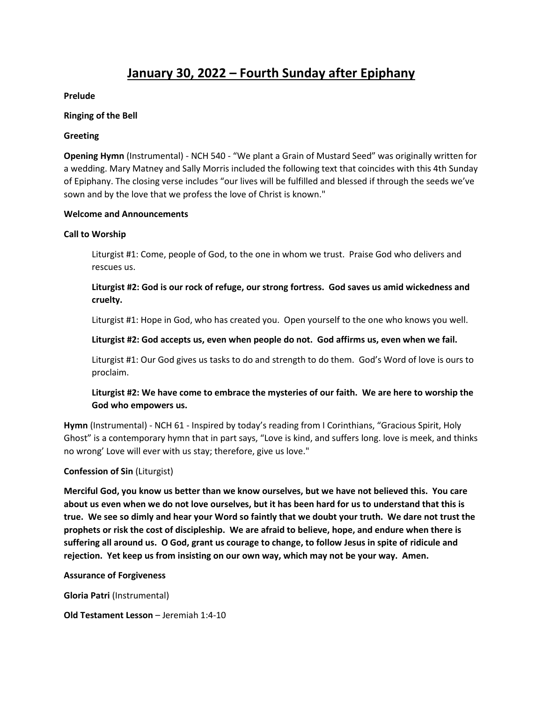# **January 30, 2022 – Fourth Sunday after Epiphany**

#### **Prelude**

#### **Ringing of the Bell**

#### **Greeting**

**Opening Hymn** (Instrumental) - NCH 540 - "We plant a Grain of Mustard Seed" was originally written for a wedding. Mary Matney and Sally Morris included the following text that coincides with this 4th Sunday of Epiphany. The closing verse includes "our lives will be fulfilled and blessed if through the seeds we've sown and by the love that we profess the love of Christ is known."

#### **Welcome and Announcements**

#### **Call to Worship**

Liturgist #1: Come, people of God, to the one in whom we trust. Praise God who delivers and rescues us.

# **Liturgist #2: God is our rock of refuge, our strong fortress. God saves us amid wickedness and cruelty.**

Liturgist #1: Hope in God, who has created you. Open yourself to the one who knows you well.

#### **Liturgist #2: God accepts us, even when people do not. God affirms us, even when we fail.**

Liturgist #1: Our God gives us tasks to do and strength to do them. God's Word of love is ours to proclaim.

# **Liturgist #2: We have come to embrace the mysteries of our faith. We are here to worship the God who empowers us.**

**Hymn** (Instrumental) - NCH 61 - Inspired by today's reading from I Corinthians, "Gracious Spirit, Holy Ghost" is a contemporary hymn that in part says, "Love is kind, and suffers long. love is meek, and thinks no wrong' Love will ever with us stay; therefore, give us love."

#### **Confession of Sin** (Liturgist)

**Merciful God, you know us better than we know ourselves, but we have not believed this. You care about us even when we do not love ourselves, but it has been hard for us to understand that this is true. We see so dimly and hear your Word so faintly that we doubt your truth. We dare not trust the prophets or risk the cost of discipleship. We are afraid to believe, hope, and endure when there is suffering all around us. O God, grant us courage to change, to follow Jesus in spite of ridicule and rejection. Yet keep us from insisting on our own way, which may not be your way. Amen.** 

#### **Assurance of Forgiveness**

**Gloria Patri** (Instrumental)

#### **Old Testament Lesson** – Jeremiah 1:4-10